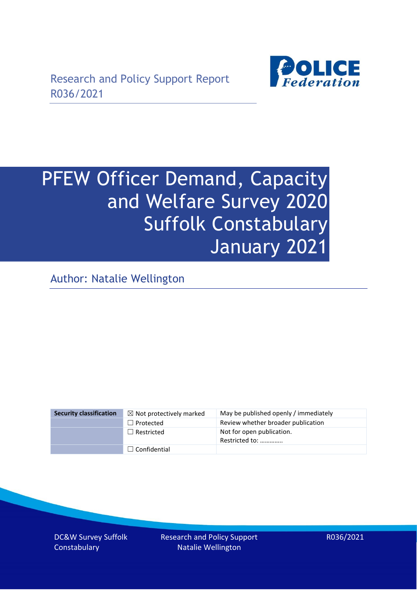

# PFEW Officer Demand, Capacity and Welfare Survey 2020 Suffolk Constabulary January 2021

Author: Natalie Wellington

| <b>Security classification</b> | $\boxtimes$ Not protectively marked | May be published openly / immediately       |
|--------------------------------|-------------------------------------|---------------------------------------------|
|                                | $\Box$ Protected                    | Review whether broader publication          |
|                                | $\Box$ Restricted                   | Not for open publication.<br>Restricted to: |
|                                | $\Box$ Confidential                 |                                             |

DC&W Survey Suffolk **Constabulary** 

Research and Policy Support Natalie Wellington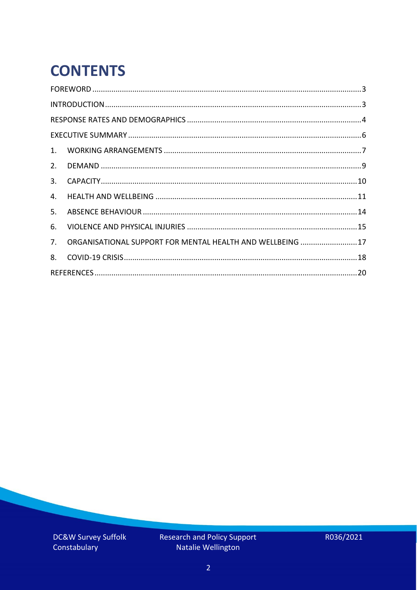# **CONTENTS**

| 2.          |                                                            |  |
|-------------|------------------------------------------------------------|--|
| 3.          |                                                            |  |
| 4.          |                                                            |  |
| 5.          |                                                            |  |
| 6.          |                                                            |  |
| $7_{\cdot}$ | ORGANISATIONAL SUPPORT FOR MENTAL HEALTH AND WELLBEING  17 |  |
| 8.          |                                                            |  |
|             |                                                            |  |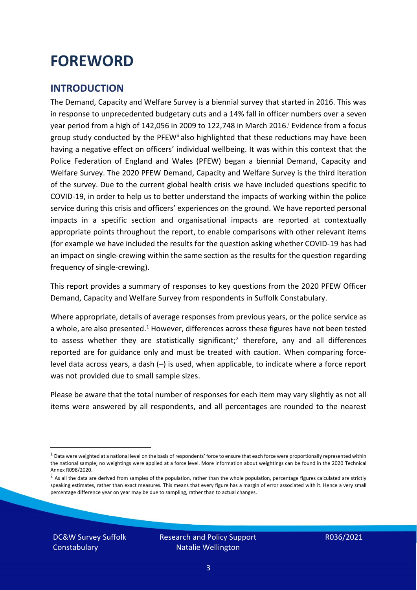### <span id="page-2-0"></span>**FOREWORD**

### <span id="page-2-1"></span>**INTRODUCTION**

The Demand, Capacity and Welfare Survey is a biennial survey that started in 2016. This was in response to unprecedented budgetary cuts and a 14% fall in officer numbers over a seven year period from a high of 142,056 in 2009 to 122,748 in March 2016. <sup>i</sup> Evidence from a focus group study conducted by the PFEW<sup>ii</sup> also highlighted that these reductions may have been having a negative effect on officers' individual wellbeing. It was within this context that the Police Federation of England and Wales (PFEW) began a biennial Demand, Capacity and Welfare Survey. The 2020 PFEW Demand, Capacity and Welfare Survey is the third iteration of the survey. Due to the current global health crisis we have included questions specific to COVID-19, in order to help us to better understand the impacts of working within the police service during this crisis and officers' experiences on the ground. We have reported personal impacts in a specific section and organisational impacts are reported at contextually appropriate points throughout the report, to enable comparisons with other relevant items (for example we have included the results for the question asking whether COVID-19 has had an impact on single-crewing within the same section as the results for the question regarding frequency of single-crewing).

This report provides a summary of responses to key questions from the 2020 PFEW Officer Demand, Capacity and Welfare Survey from respondents in Suffolk Constabulary.

Where appropriate, details of average responses from previous years, or the police service as a whole, are also presented.<sup>1</sup> However, differences across these figures have not been tested to assess whether they are statistically significant;<sup>2</sup> therefore, any and all differences reported are for guidance only and must be treated with caution. When comparing forcelevel data across years, a dash (–) is used, when applicable, to indicate where a force report was not provided due to small sample sizes.

Please be aware that the total number of responses for each item may vary slightly as not all items were answered by all respondents, and all percentages are rounded to the nearest

DC&W Survey Suffolk **Constabulary** 

 $1$  Data were weighted at a national level on the basis of respondents' force to ensure that each force were proportionally represented within the national sample; no weightings were applied at a force level. More information about weightings can be found in the 2020 Technical Annex R098/2020.

 $2$  As all the data are derived from samples of the population, rather than the whole population, percentage figures calculated are strictly speaking estimates, rather than exact measures. This means that every figure has a margin of error associated with it. Hence a very small percentage difference year on year may be due to sampling, rather than to actual changes.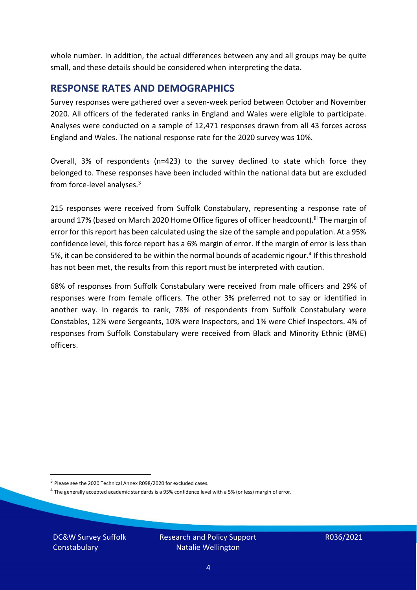whole number. In addition, the actual differences between any and all groups may be quite small, and these details should be considered when interpreting the data.

#### <span id="page-3-0"></span>**RESPONSE RATES AND DEMOGRAPHICS**

Survey responses were gathered over a seven-week period between October and November 2020. All officers of the federated ranks in England and Wales were eligible to participate. Analyses were conducted on a sample of 12,471 responses drawn from all 43 forces across England and Wales. The national response rate for the 2020 survey was 10%.

Overall, 3% of respondents (n=423) to the survey declined to state which force they belonged to. These responses have been included within the national data but are excluded from force-level analyses.<sup>3</sup>

215 responses were received from Suffolk Constabulary, representing a response rate of around 17% (based on March 2020 Home Office figures of officer headcount).<sup>iii</sup> The margin of error for this report has been calculated using the size of the sample and population. At a 95% confidence level, this force report has a 6% margin of error. If the margin of error is less than 5%, it can be considered to be within the normal bounds of academic rigour.<sup>4</sup> If this threshold has not been met, the results from this report must be interpreted with caution.

68% of responses from Suffolk Constabulary were received from male officers and 29% of responses were from female officers. The other 3% preferred not to say or identified in another way. In regards to rank, 78% of respondents from Suffolk Constabulary were Constables, 12% were Sergeants, 10% were Inspectors, and 1% were Chief Inspectors. 4% of responses from Suffolk Constabulary were received from Black and Minority Ethnic (BME) officers.

DC&W Survey Suffolk **Constabulary** 

<sup>&</sup>lt;sup>3</sup> Please see the 2020 Technical Annex R098/2020 for excluded cases.

<sup>&</sup>lt;sup>4</sup> The generally accepted academic standards is a 95% confidence level with a 5% (or less) margin of error.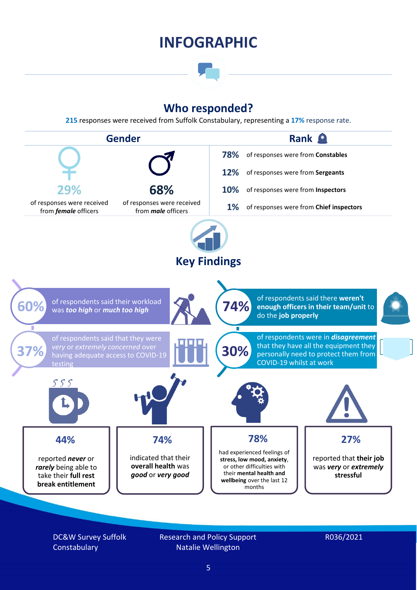### **INFOGRAPHIC**

### **Who responded?**

**215** responses were received from Suffolk Constabulary, representing a **17%** response rate.



DC&W Survey Suffolk **Constabulary** 

Research and Policy Support Natalie Wellington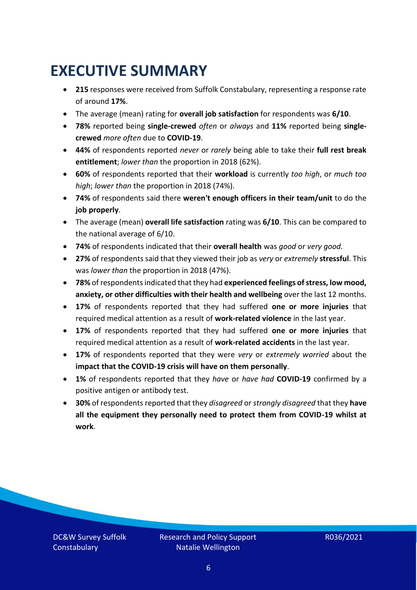### <span id="page-5-0"></span>**EXECUTIVE SUMMARY**

- **215** responses were received from Suffolk Constabulary, representing a response rate of around **17%**.
- The average (mean) rating for **overall job satisfaction** for respondents was **6/10**.
- **78%** reported being **single-crewed** *often* or *always* and **11%** reported being **singlecrewed** *more often* due to **COVID-19**.
- **44%** of respondents reported *never* or *rarely* being able to take their **full rest break entitlement**; *lower than* the proportion in 2018 (62%).
- **60%** of respondents reported that their **workload** is currently *too high*, or *much too high*; *lower than* the proportion in 2018 (74%).
- **74%** of respondents said there **weren't enough officers in their team/unit** to do the **job properly**.
- The average (mean) **overall life satisfaction** rating was **6/10**. This can be compared to the national average of 6/10.
- **74%** of respondents indicated that their **overall health** was *good* or *very good.*
- **27%** of respondents said that they viewed their job as *very* or *extremely* **stressful**. This was *lower than* the proportion in 2018 (47%).
- **78%** of respondents indicated that they had **experienced feelings of stress, low mood, anxiety, or other difficulties with their health and wellbeing** over the last 12 months.
- **17%** of respondents reported that they had suffered **one or more injuries** that required medical attention as a result of **work-related violence** in the last year.
- **17%** of respondents reported that they had suffered **one or more injuries** that required medical attention as a result of **work-related accidents** in the last year.
- **17%** of respondents reported that they were *very* or *extremely worried* about the **impact that the COVID-19 crisis will have on them personally**.
- **1%** of respondents reported that they *have* or *have had* **COVID-19** confirmed by a positive antigen or antibody test.
- **30%** of respondents reported that they *disagreed* or *strongly disagreed* that they **have all the equipment they personally need to protect them from COVID-19 whilst at work**.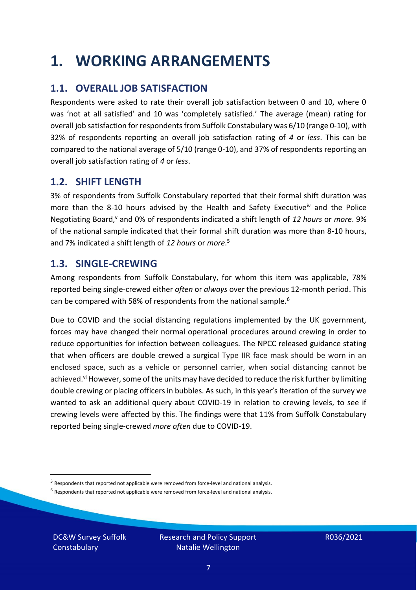### <span id="page-6-0"></span>**1. WORKING ARRANGEMENTS**

### **1.1. OVERALL JOB SATISFACTION**

Respondents were asked to rate their overall job satisfaction between 0 and 10, where 0 was 'not at all satisfied' and 10 was 'completely satisfied.' The average (mean) rating for overall job satisfaction for respondents from Suffolk Constabulary was 6/10 (range 0-10), with 32% of respondents reporting an overall job satisfaction rating of *4* or *less*. This can be compared to the national average of 5/10 (range 0-10), and 37% of respondents reporting an overall job satisfaction rating of *4* or *less*.

### **1.2. SHIFT LENGTH**

3% of respondents from Suffolk Constabulary reported that their formal shift duration was more than the 8-10 hours advised by the Health and Safety Executive<sup>iv</sup> and the Police Negotiating Board,<sup>v</sup> and 0% of respondents indicated a shift length of 12 hours or *more*. 9% of the national sample indicated that their formal shift duration was more than 8-10 hours, and 7% indicated a shift length of *12 hours* or *more*. 5

### **1.3. SINGLE-CREWING**

Among respondents from Suffolk Constabulary, for whom this item was applicable, 78% reported being single-crewed either *often* or *always* over the previous 12-month period. This can be compared with 58% of respondents from the national sample.<sup>6</sup>

Due to COVID and the social distancing regulations implemented by the UK government, forces may have changed their normal operational procedures around crewing in order to reduce opportunities for infection between colleagues. The NPCC released guidance stating that when officers are double crewed a surgical Type IIR face mask should be worn in an enclosed space, such as a vehicle or personnel carrier, when social distancing cannot be achieved.<sup>vi</sup> However, some of the units may have decided to reduce the risk further by limiting double crewing or placing officers in bubbles. As such, in this year's iteration of the survey we wanted to ask an additional query about COVID-19 in relation to crewing levels, to see if crewing levels were affected by this. The findings were that 11% from Suffolk Constabulary reported being single-crewed *more often* due to COVID-19.

 $<sup>6</sup>$  Respondents that reported not applicable were removed from force-level and national analysis.</sup>

DC&W Survey Suffolk **Constabulary** 

<sup>&</sup>lt;sup>5</sup> Respondents that reported not applicable were removed from force-level and national analysis.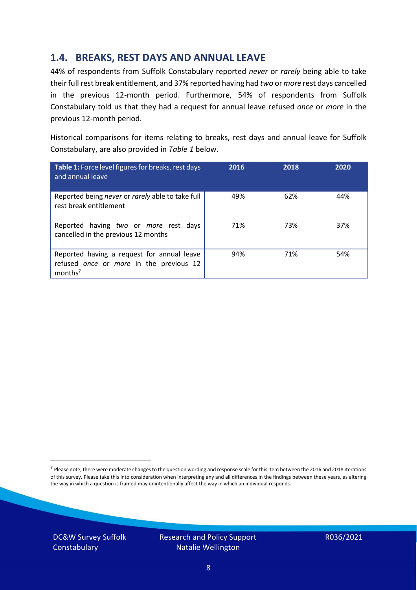### **1.4. BREAKS, REST DAYS AND ANNUAL LEAVE**

44% of respondents from Suffolk Constabulary reported *never* or *rarely* being able to take their full rest break entitlement, and 37% reported having had *two* or *more* rest days cancelled in the previous 12-month period. Furthermore, 54% of respondents from Suffolk Constabulary told us that they had a request for annual leave refused *once* or *more* in the previous 12-month period.

Historical comparisons for items relating to breaks, rest days and annual leave for Suffolk Constabulary, are also provided in *Table 1* below.

| Table 1: Force level figures for breaks, rest days<br>and annual leave                                       | 2016 | 2018 | 2020 |
|--------------------------------------------------------------------------------------------------------------|------|------|------|
| Reported being never or rarely able to take full<br>rest break entitlement                                   | 49%  | 62%  | 44%  |
| Reported having two or more rest days<br>cancelled in the previous 12 months                                 | 71%  | 73%  | 37%  |
| Reported having a request for annual leave<br>refused once or more in the previous 12<br>months <sup>7</sup> | 94%  | 71%  | 54%  |

DC&W Survey Suffolk **Constabulary** 



<sup>&</sup>lt;sup>7</sup> Please note, there were moderate changes to the question wording and response scale for this item between the 2016 and 2018 iterations of this survey. Please take this into consideration when interpreting any and all differences in the findings between these years, as altering the way in which a question is framed may unintentionally affect the way in which an individual responds.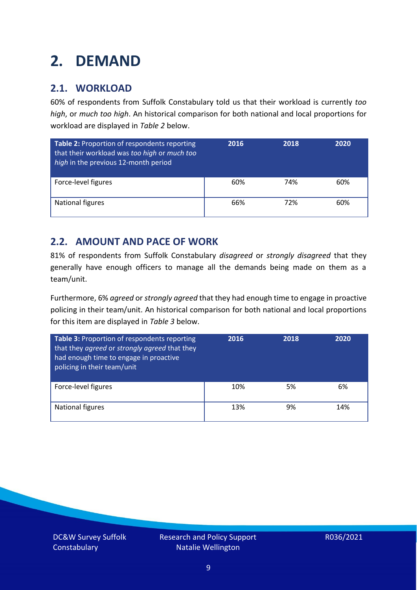### <span id="page-8-0"></span>**2. DEMAND**

### **2.1. WORKLOAD**

60% of respondents from Suffolk Constabulary told us that their workload is currently *too high*, or *much too high*. An historical comparison for both national and local proportions for workload are displayed in *Table 2* below.

| Table 2: Proportion of respondents reporting<br>that their workload was too high or much too<br>high in the previous 12-month period | 2016 | 2018 | 2020 |
|--------------------------------------------------------------------------------------------------------------------------------------|------|------|------|
| Force-level figures                                                                                                                  | 60%  | 74%  | 60%  |
| <b>National figures</b>                                                                                                              | 66%  | 72%  | 60%  |

### **2.2. AMOUNT AND PACE OF WORK**

81% of respondents from Suffolk Constabulary *disagreed* or *strongly disagreed* that they generally have enough officers to manage all the demands being made on them as a team/unit.

Furthermore, 6% *agreed* or *strongly agreed* that they had enough time to engage in proactive policing in their team/unit. An historical comparison for both national and local proportions for this item are displayed in *Table 3* below.

| Table 3: Proportion of respondents reporting<br>that they agreed or strongly agreed that they<br>had enough time to engage in proactive<br>policing in their team/unit | 2016 | 2018 | 2020 |
|------------------------------------------------------------------------------------------------------------------------------------------------------------------------|------|------|------|
| Force-level figures                                                                                                                                                    | 10%  | 5%   | 6%   |
| National figures                                                                                                                                                       | 13%  | 9%   | 14%  |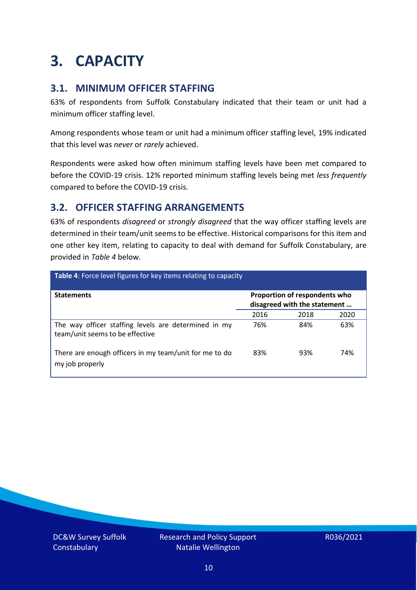### <span id="page-9-0"></span>**3. CAPACITY**

### **3.1. MINIMUM OFFICER STAFFING**

63% of respondents from Suffolk Constabulary indicated that their team or unit had a minimum officer staffing level.

Among respondents whose team or unit had a minimum officer staffing level, 19% indicated that this level was *never* or *rarely* achieved.

Respondents were asked how often minimum staffing levels have been met compared to before the COVID-19 crisis. 12% reported minimum staffing levels being met *less frequently* compared to before the COVID-19 crisis.

### **3.2. OFFICER STAFFING ARRANGEMENTS**

63% of respondents *disagreed* or *strongly disagreed* that the way officer staffing levels are determined in their team/unit seems to be effective. Historical comparisons for this item and one other key item, relating to capacity to deal with demand for Suffolk Constabulary, are provided in *Table 4* below.

| Table 4: Force level figures for key items relating to capacity                         |                                                               |      |      |  |
|-----------------------------------------------------------------------------------------|---------------------------------------------------------------|------|------|--|
| <b>Statements</b>                                                                       | Proportion of respondents who<br>disagreed with the statement |      |      |  |
|                                                                                         | 2016                                                          | 2018 | 2020 |  |
| The way officer staffing levels are determined in my<br>team/unit seems to be effective | 76%                                                           | 84%  | 63%  |  |
| There are enough officers in my team/unit for me to do<br>my job properly               | 83%                                                           | 93%  | 74%  |  |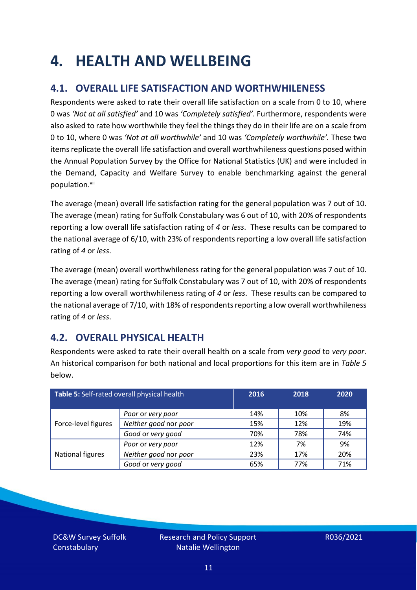### <span id="page-10-0"></span>**4. HEALTH AND WELLBEING**

### **4.1. OVERALL LIFE SATISFACTION AND WORTHWHILENESS**

Respondents were asked to rate their overall life satisfaction on a scale from 0 to 10, where 0 was *'Not at all satisfied'* and 10 was *'Completely satisfied'*. Furthermore, respondents were also asked to rate how worthwhile they feel the things they do in their life are on a scale from 0 to 10, where 0 was *'Not at all worthwhile'* and 10 was *'Completely worthwhile'.* These two items replicate the overall life satisfaction and overall worthwhileness questions posed within the Annual Population Survey by the Office for National Statistics (UK) and were included in the Demand, Capacity and Welfare Survey to enable benchmarking against the general population. vii

The average (mean) overall life satisfaction rating for the general population was 7 out of 10. The average (mean) rating for Suffolk Constabulary was 6 out of 10, with 20% of respondents reporting a low overall life satisfaction rating of *4* or *less*. These results can be compared to the national average of 6/10, with 23% of respondents reporting a low overall life satisfaction rating of *4* or *less*.

The average (mean) overall worthwhileness rating for the general population was 7 out of 10. The average (mean) rating for Suffolk Constabulary was 7 out of 10, with 20% of respondents reporting a low overall worthwhileness rating of *4* or *less*. These results can be compared to the national average of 7/10, with 18% of respondents reporting a low overall worthwhileness rating of *4* or *less*.

### **4.2. OVERALL PHYSICAL HEALTH**

Respondents were asked to rate their overall health on a scale from *very good* to *very poor*. An historical comparison for both national and local proportions for this item are in *Table 5* below.

| Table 5: Self-rated overall physical health |                       | 2016 | 2018 | 2020 |
|---------------------------------------------|-----------------------|------|------|------|
|                                             | Poor or very poor     | 14%  | 10%  | 8%   |
| Force-level figures                         | Neither good nor poor | 15%  | 12%  | 19%  |
|                                             | Good or very good     | 70%  | 78%  | 74%  |
|                                             | Poor or very poor     | 12%  | 7%   | 9%   |
| National figures                            | Neither good nor poor | 23%  | 17%  | 20%  |
|                                             | Good or very good     | 65%  | 77%  | 71%  |

DC&W Survey Suffolk **Constabulary**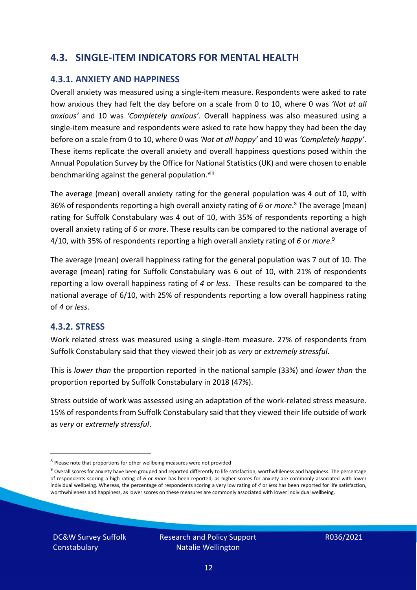### **4.3. SINGLE-ITEM INDICATORS FOR MENTAL HEALTH**

#### **4.3.1. ANXIETY AND HAPPINESS**

Overall anxiety was measured using a single-item measure. Respondents were asked to rate how anxious they had felt the day before on a scale from 0 to 10, where 0 was *'Not at all anxious'* and 10 was *'Completely anxious'*. Overall happiness was also measured using a single-item measure and respondents were asked to rate how happy they had been the day before on a scale from 0 to 10, where 0 was *'Not at all happy'* and 10 was *'Completely happy'*. These items replicate the overall anxiety and overall happiness questions posed within the Annual Population Survey by the Office for National Statistics (UK) and were chosen to enable benchmarking against the general population.<sup>viii</sup>

The average (mean) overall anxiety rating for the general population was 4 out of 10, with 36% of respondents reporting a high overall anxiety rating of *6* or *more*. <sup>8</sup> The average (mean) rating for Suffolk Constabulary was 4 out of 10, with 35% of respondents reporting a high overall anxiety rating of *6* or *more*. These results can be compared to the national average of 4/10, with 35% of respondents reporting a high overall anxiety rating of *6* or *more*. 9

The average (mean) overall happiness rating for the general population was 7 out of 10. The average (mean) rating for Suffolk Constabulary was 6 out of 10, with 21% of respondents reporting a low overall happiness rating of *4* or *less*. These results can be compared to the national average of 6/10, with 25% of respondents reporting a low overall happiness rating of *4* or *less*.

#### **4.3.2. STRESS**

Work related stress was measured using a single-item measure. 27% of respondents from Suffolk Constabulary said that they viewed their job as *very* or *extremely stressful*.

This is *lower than* the proportion reported in the national sample (33%) and *lower than* the proportion reported by Suffolk Constabulary in 2018 (47%).

Stress outside of work was assessed using an adaptation of the work-related stress measure. 15% of respondents from Suffolk Constabulary said that they viewed their life outside of work as *very* or *extremely stressful*.

DC&W Survey Suffolk **Constabulary** 

<sup>&</sup>lt;sup>8</sup> Please note that proportions for other wellbeing measures were not provided

 $9$  Overall scores for anxiety have been grouped and reported differently to life satisfaction, worthwhileness and happiness. The percentage of respondents scoring a high rating of *6* or *more* has been reported, as higher scores for anxiety are commonly associated with lower individual wellbeing. Whereas, the percentage of respondents scoring a very low rating of *4* or *less* has been reported for life satisfaction, worthwhileness and happiness, as lower scores on these measures are commonly associated with lower individual wellbeing.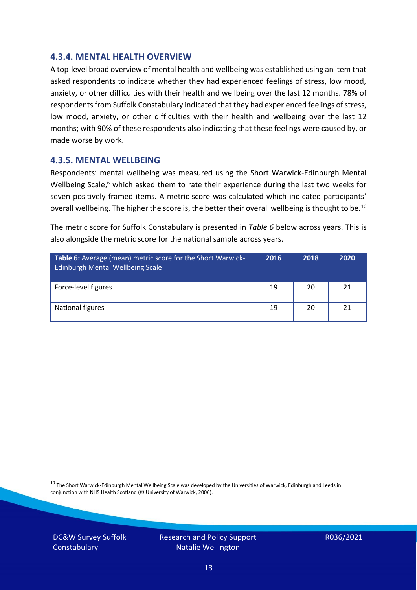#### **4.3.4. MENTAL HEALTH OVERVIEW**

A top-level broad overview of mental health and wellbeing was established using an item that asked respondents to indicate whether they had experienced feelings of stress, low mood, anxiety, or other difficulties with their health and wellbeing over the last 12 months. 78% of respondents from Suffolk Constabulary indicated that they had experienced feelings of stress, low mood, anxiety, or other difficulties with their health and wellbeing over the last 12 months; with 90% of these respondents also indicating that these feelings were caused by, or made worse by work.

#### **4.3.5. MENTAL WELLBEING**

Respondents' mental wellbeing was measured using the Short Warwick-Edinburgh Mental Wellbeing Scale,<sup>ix</sup> which asked them to rate their experience during the last two weeks for seven positively framed items. A metric score was calculated which indicated participants' overall wellbeing. The higher the score is, the better their overall wellbeing is thought to be.<sup>10</sup>

The metric score for Suffolk Constabulary is presented in *Table 6* below across years. This is also alongside the metric score for the national sample across years.

| <b>Table 6:</b> Average (mean) metric score for the Short Warwick-<br>Edinburgh Mental Wellbeing Scale | 2016 | 2018 | 2020 |
|--------------------------------------------------------------------------------------------------------|------|------|------|
| Force-level figures                                                                                    | 19   | 20   | 21   |
| National figures                                                                                       | 19   | 20   | 21   |

 $10$  The Short Warwick-Edinburgh Mental Wellbeing Scale was developed by the Universities of Warwick, Edinburgh and Leeds in conjunction with NHS Health Scotland (© University of Warwick, 2006).

DC&W Survey Suffolk **Constabulary** 

Research and Policy Support Natalie Wellington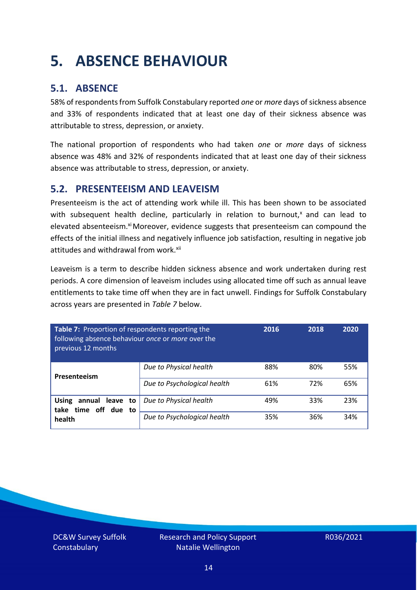### <span id="page-13-0"></span>**5. ABSENCE BEHAVIOUR**

### **5.1. ABSENCE**

58% of respondents from Suffolk Constabulary reported *one* or *more* days of sickness absence and 33% of respondents indicated that at least one day of their sickness absence was attributable to stress, depression, or anxiety.

The national proportion of respondents who had taken *one* or *more* days of sickness absence was 48% and 32% of respondents indicated that at least one day of their sickness absence was attributable to stress, depression, or anxiety.

### **5.2. PRESENTEEISM AND LEAVEISM**

Presenteeism is the act of attending work while ill. This has been shown to be associated with subsequent health decline, particularly in relation to burnout, $x$  and can lead to elevated absenteeism.<sup>xi</sup> Moreover, evidence suggests that presenteeism can compound the effects of the initial illness and negatively influence job satisfaction, resulting in negative job attitudes and withdrawal from work.<sup>xii</sup>

Leaveism is a term to describe hidden sickness absence and work undertaken during rest periods. A core dimension of leaveism includes using allocated time off such as annual leave entitlements to take time off when they are in fact unwell. Findings for Suffolk Constabulary across years are presented in *Table 7* below.

| Table 7: Proportion of respondents reporting the<br>following absence behaviour once or more over the<br>previous 12 months |                             | 2016 | 2018 | 2020 |
|-----------------------------------------------------------------------------------------------------------------------------|-----------------------------|------|------|------|
| Presenteeism                                                                                                                | Due to Physical health      | 88%  | 80%  | 55%  |
|                                                                                                                             | Due to Psychological health | 61%  | 72%  | 65%  |
| annual leave to<br><b>Using</b><br>time off due to<br>take                                                                  | Due to Physical health      | 49%  | 33%  | 23%  |
| health                                                                                                                      | Due to Psychological health | 35%  | 36%  | 34%  |

DC&W Survey Suffolk **Constabulary**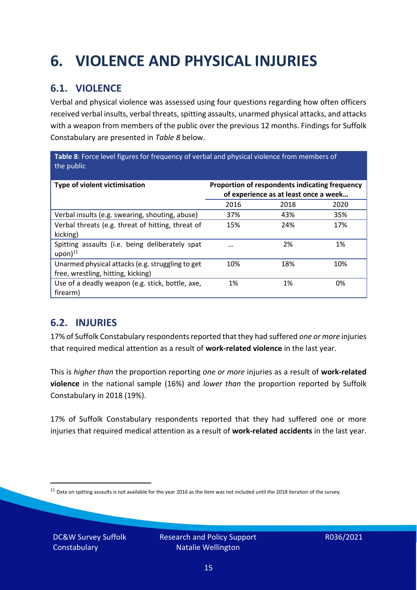## <span id="page-14-0"></span>**6. VIOLENCE AND PHYSICAL INJURIES**

### **6.1. VIOLENCE**

Verbal and physical violence was assessed using four questions regarding how often officers received verbal insults, verbal threats, spitting assaults, unarmed physical attacks, and attacks with a weapon from members of the public over the previous 12 months. Findings for Suffolk Constabulary are presented in *Table 8* below.

**Table 8**: Force level figures for frequency of verbal and physical violence from members of the public

| Type of violent victimisation                                                          | Proportion of respondents indicating frequency<br>of experience as at least once a week |      |      |
|----------------------------------------------------------------------------------------|-----------------------------------------------------------------------------------------|------|------|
|                                                                                        | 2016                                                                                    | 2018 | 2020 |
| Verbal insults (e.g. swearing, shouting, abuse)                                        | 37%                                                                                     | 43%  | 35%  |
| Verbal threats (e.g. threat of hitting, threat of<br>kicking)                          | 15%                                                                                     | 24%  | 17%  |
| Spitting assaults (i.e. being deliberately spat<br>$upon)$ <sup>11</sup>               | $\cdots$                                                                                | 2%   | 1%   |
| Unarmed physical attacks (e.g. struggling to get<br>free, wrestling, hitting, kicking) | 10%                                                                                     | 18%  | 10%  |
| Use of a deadly weapon (e.g. stick, bottle, axe,<br>firearm)                           | 1%                                                                                      | 1%   | 0%   |

### **6.2. INJURIES**

17% of Suffolk Constabulary respondents reported that they had suffered *one or more* injuries that required medical attention as a result of **work-related violence** in the last year.

This is *higher than* the proportion reporting *one or more* injuries as a result of **work-related violence** in the national sample (16%) and *lower than* the proportion reported by Suffolk Constabulary in 2018 (19%).

17% of Suffolk Constabulary respondents reported that they had suffered one or more injuries that required medical attention as a result of **work-related accidents** in the last year.

DC&W Survey Suffolk **Constabulary** 

 $11$  Data on spitting assaults is not available for the year 2016 as the item was not included until the 2018 iteration of the survey.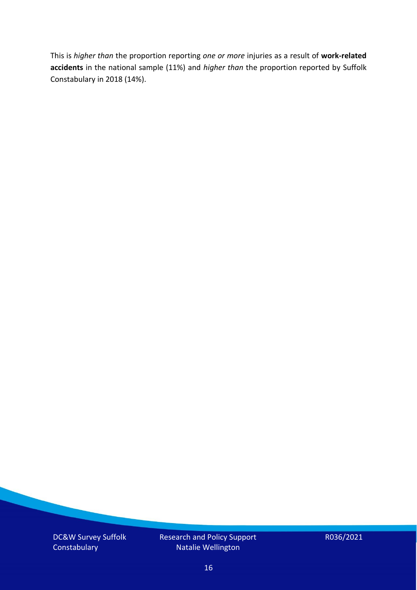This is *higher than* the proportion reporting *one or more* injuries as a result of **work-related accidents** in the national sample (11%) and *higher than* the proportion reported by Suffolk Constabulary in 2018 (14%).

DC&W Survey Suffolk **Constabulary** 

Research and Policy Support Natalie Wellington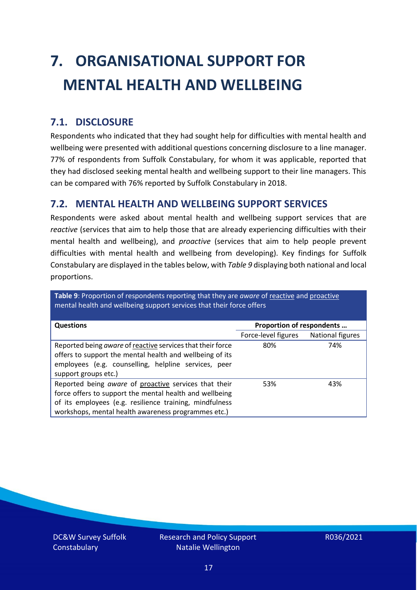# <span id="page-16-0"></span>**7. ORGANISATIONAL SUPPORT FOR MENTAL HEALTH AND WELLBEING**

### **7.1. DISCLOSURE**

Respondents who indicated that they had sought help for difficulties with mental health and wellbeing were presented with additional questions concerning disclosure to a line manager. 77% of respondents from Suffolk Constabulary, for whom it was applicable, reported that they had disclosed seeking mental health and wellbeing support to their line managers. This can be compared with 76% reported by Suffolk Constabulary in 2018.

#### **7.2. MENTAL HEALTH AND WELLBEING SUPPORT SERVICES**

Respondents were asked about mental health and wellbeing support services that are *reactive* (services that aim to help those that are already experiencing difficulties with their mental health and wellbeing), and *proactive* (services that aim to help people prevent difficulties with mental health and wellbeing from developing). Key findings for Suffolk Constabulary are displayed in the tables below, with *Table 9* displaying both national and local proportions.

**Table 9**: Proportion of respondents reporting that they are *aware* of reactive and proactive mental health and wellbeing support services that their force offers

| <b>Questions</b>                                                                                                                                                                                                                   | Proportion of respondents |                  |
|------------------------------------------------------------------------------------------------------------------------------------------------------------------------------------------------------------------------------------|---------------------------|------------------|
|                                                                                                                                                                                                                                    | Force-level figures       | National figures |
| Reported being aware of reactive services that their force<br>offers to support the mental health and wellbeing of its<br>employees (e.g. counselling, helpline services, peer<br>support groups etc.)                             | 80%                       | 74%              |
| Reported being aware of proactive services that their<br>force offers to support the mental health and wellbeing<br>of its employees (e.g. resilience training, mindfulness<br>workshops, mental health awareness programmes etc.) | 53%                       | 43%              |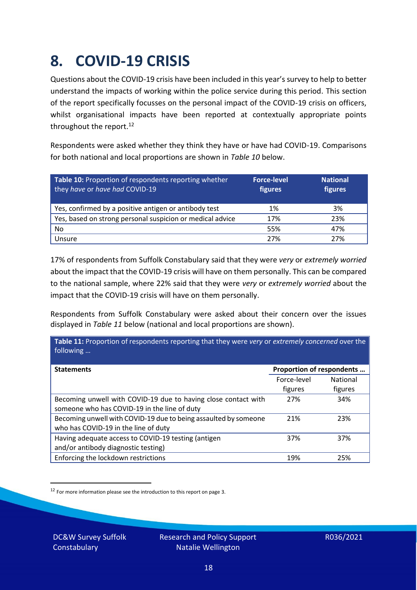### <span id="page-17-0"></span>**8. COVID-19 CRISIS**

Questions about the COVID-19 crisis have been included in this year's survey to help to better understand the impacts of working within the police service during this period. This section of the report specifically focusses on the personal impact of the COVID-19 crisis on officers, whilst organisational impacts have been reported at contextually appropriate points throughout the report.<sup>12</sup>

Respondents were asked whether they think they have or have had COVID-19. Comparisons for both national and local proportions are shown in *Table 10* below.

| Table 10: Proportion of respondents reporting whether<br>they have or have had COVID-19 | <b>Force-level</b><br>figures | <b>National</b><br>figures |
|-----------------------------------------------------------------------------------------|-------------------------------|----------------------------|
| Yes, confirmed by a positive antigen or antibody test                                   | 1%                            | 3%                         |
| Yes, based on strong personal suspicion or medical advice                               | 17%                           | 23%                        |
| No                                                                                      | 55%                           | 47%                        |
| Unsure                                                                                  | 27%                           | 27%                        |

17% of respondents from Suffolk Constabulary said that they were *very* or *extremely worried* about the impact that the COVID-19 crisis will have on them personally. This can be compared to the national sample, where 22% said that they were *very* or *extremely worried* about the impact that the COVID-19 crisis will have on them personally.

Respondents from Suffolk Constabulary were asked about their concern over the issues displayed in *Table 11* below (national and local proportions are shown).

| Table 11: Proportion of respondents reporting that they were very or extremely concerned over the<br>following |                           |                            |
|----------------------------------------------------------------------------------------------------------------|---------------------------|----------------------------|
| <b>Statements</b>                                                                                              | Proportion of respondents |                            |
|                                                                                                                | Force-level<br>figures    | <b>National</b><br>figures |
| Becoming unwell with COVID-19 due to having close contact with<br>someone who has COVID-19 in the line of duty | 27%                       | 34%                        |
| Becoming unwell with COVID-19 due to being assaulted by someone<br>who has COVID-19 in the line of duty        | 21%                       | 23%                        |
| Having adequate access to COVID-19 testing (antigen<br>and/or antibody diagnostic testing)                     | 37%                       | 37%                        |
| Enforcing the lockdown restrictions                                                                            | 19%                       | 25%                        |

<sup>12</sup> For more information please see the introduction to this report on page 3.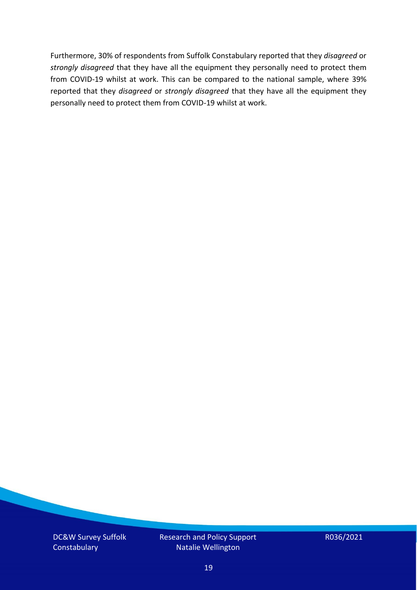Furthermore, 30% of respondents from Suffolk Constabulary reported that they *disagreed* or *strongly disagreed* that they have all the equipment they personally need to protect them from COVID-19 whilst at work. This can be compared to the national sample, where 39% reported that they *disagreed* or *strongly disagreed* that they have all the equipment they personally need to protect them from COVID-19 whilst at work.

DC&W Survey Suffolk **Constabulary** 

Research and Policy Support Natalie Wellington